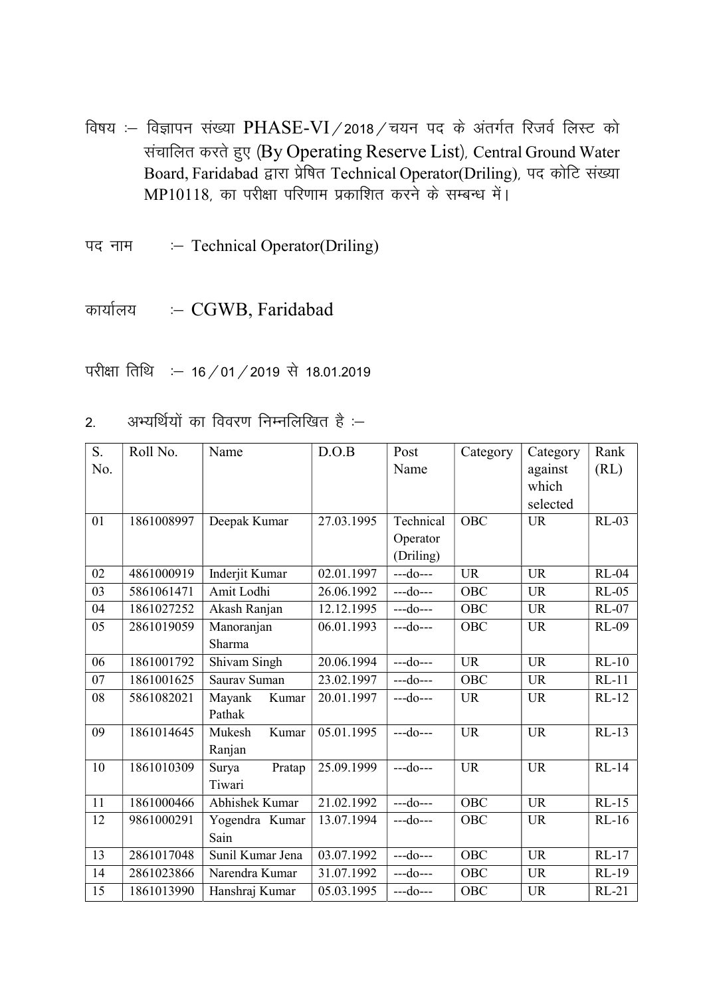- विषय :- विज्ञापन संख्या PHASE-VI / 2018 / चयन पद के अंतर्गत रिजर्व लिस्ट को संचालित करते हुए (By Operating Reserve List), Central Ground Water Board, Faridabad द्वारा प्रेषित Technical Operator(Driling), पद कोटि संख्या MP10118, का परीक्षा परिणाम प्रकाशित करने के सम्बन्ध में।
- पद नाम :- Technical Operator(Driling)

कार्यालय :- CGWB, Faridabad

परीक्षा तिथि : - 16 / 01 / 2019 से 18.01.2019

|  |  | अभ्यर्थियों का विवरण निम्नलिखित है :– |  |
|--|--|---------------------------------------|--|
|  |  |                                       |  |
|  |  |                                       |  |

| S.  | Roll No.   | Name             | D.O.B      | Post           | Category   | Category  | Rank         |
|-----|------------|------------------|------------|----------------|------------|-----------|--------------|
| No. |            |                  |            | Name           |            | against   | (RL)         |
|     |            |                  |            |                |            | which     |              |
|     |            |                  |            |                |            | selected  |              |
| 01  | 1861008997 | Deepak Kumar     | 27.03.1995 | Technical      | OBC        | <b>UR</b> | $RL-03$      |
|     |            |                  |            | Operator       |            |           |              |
|     |            |                  |            | (Driling)      |            |           |              |
| 02  | 4861000919 | Inderjit Kumar   | 02.01.1997 | $- -d$ o $- -$ | <b>UR</b>  | <b>UR</b> | <b>RL-04</b> |
| 03  | 5861061471 | Amit Lodhi       | 26.06.1992 | $-do--$        | <b>OBC</b> | <b>UR</b> | $RL-05$      |
| 04  | 1861027252 | Akash Ranjan     | 12.12.1995 | $-$ -do $-$    | <b>OBC</b> | <b>UR</b> | $RL-07$      |
| 05  | 2861019059 | Manoranjan       | 06.01.1993 | $-$ -do $-$    | <b>OBC</b> | <b>UR</b> | <b>RL-09</b> |
|     |            | Sharma           |            |                |            |           |              |
| 06  | 1861001792 | Shivam Singh     | 20.06.1994 | $-$ -do $-$ -- | <b>UR</b>  | <b>UR</b> | $RL-10$      |
| 07  | 1861001625 | Saurav Suman     | 23.02.1997 | $-$ -do $-$ -- | <b>OBC</b> | <b>UR</b> | $RL-11$      |
| 08  | 5861082021 | Mayank<br>Kumar  | 20.01.1997 | $-$ -do $-$ -- | <b>UR</b>  | <b>UR</b> | $RL-12$      |
|     |            | Pathak           |            |                |            |           |              |
| 09  | 1861014645 | Kumar<br>Mukesh  | 05.01.1995 | $-$ -do $-$    | <b>UR</b>  | <b>UR</b> | $RL-13$      |
|     |            | Ranjan           |            |                |            |           |              |
| 10  | 1861010309 | Pratap<br>Surya  | 25.09.1999 | $-$ -do $-$ -- | <b>UR</b>  | <b>UR</b> | $RL-14$      |
|     |            | Tiwari           |            |                |            |           |              |
| 11  | 1861000466 | Abhishek Kumar   | 21.02.1992 | $-do--$        | <b>OBC</b> | <b>UR</b> | $RL-15$      |
| 12  | 9861000291 | Yogendra Kumar   | 13.07.1994 | $-$ -do $-$    | <b>OBC</b> | <b>UR</b> | $RL-16$      |
|     |            | Sain             |            |                |            |           |              |
| 13  | 2861017048 | Sunil Kumar Jena | 03.07.1992 | $-$ -do $-$    | OBC        | <b>UR</b> | $RL-17$      |
| 14  | 2861023866 | Narendra Kumar   | 31.07.1992 | $-$ -do $-$ -- | OBC        | <b>UR</b> | <b>RL-19</b> |
| 15  | 1861013990 | Hanshraj Kumar   | 05.03.1995 | $--do--$       | OBC        | <b>UR</b> | $RL-21$      |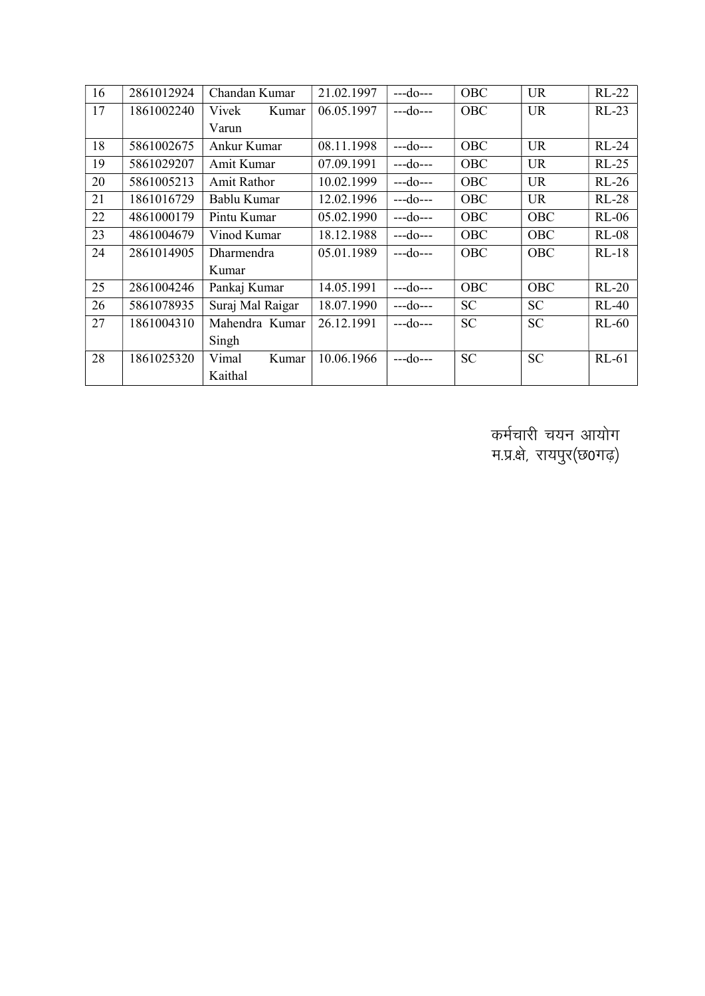| 16 | 2861012924 | Chandan Kumar    | 21.02.1997 | $--do--$       | OBC        | <b>UR</b>  | $RL-22$      |
|----|------------|------------------|------------|----------------|------------|------------|--------------|
| 17 | 1861002240 | Vivek<br>Kumar   | 06.05.1997 | $-$ -do $-$ -- | <b>OBC</b> | <b>UR</b>  | $RL-23$      |
|    |            | Varun            |            |                |            |            |              |
| 18 | 5861002675 | Ankur Kumar      | 08.11.1998 | $--do--$       | OBC        | <b>UR</b>  | <b>RL-24</b> |
| 19 | 5861029207 | Amit Kumar       | 07.09.1991 | $-$ -do $-$ -- | OBC        | <b>UR</b>  | $RL-25$      |
| 20 | 5861005213 | Amit Rathor      | 10.02.1999 | $--do--$       | OBC        | <b>UR</b>  | $RL-26$      |
| 21 | 1861016729 | Bablu Kumar      | 12.02.1996 | $--do--$       | OBC        | <b>UR</b>  | $RL-28$      |
| 22 | 4861000179 | Pintu Kumar      | 05.02.1990 | $--do--$       | OBC        | OBC        | $RL-06$      |
| 23 | 4861004679 | Vinod Kumar      | 18.12.1988 | $--do--$       | OBC        | OBC        | $RL-08$      |
| 24 | 2861014905 | Dharmendra       | 05.01.1989 | $--do--$       | OBC        | <b>OBC</b> | $RL-18$      |
|    |            | Kumar            |            |                |            |            |              |
| 25 | 2861004246 | Pankaj Kumar     | 14.05.1991 | $--do--$       | <b>OBC</b> | <b>OBC</b> | $RL-20$      |
| 26 | 5861078935 | Suraj Mal Raigar | 18.07.1990 | $--do--$       | <b>SC</b>  | <b>SC</b>  | $RL-40$      |
| 27 | 1861004310 | Mahendra Kumar   | 26.12.1991 | ---do---       | <b>SC</b>  | <b>SC</b>  | $RL-60$      |
|    |            | Singh            |            |                |            |            |              |
| 28 | 1861025320 | Vimal<br>Kumar   | 10.06.1966 | $--do--$       | <b>SC</b>  | <b>SC</b>  | $RL-61$      |
|    |            | Kaithal          |            |                |            |            |              |

कर्मचारी चयन आयोग म.प्र.क्षे, रायपुर(छ0गढ़)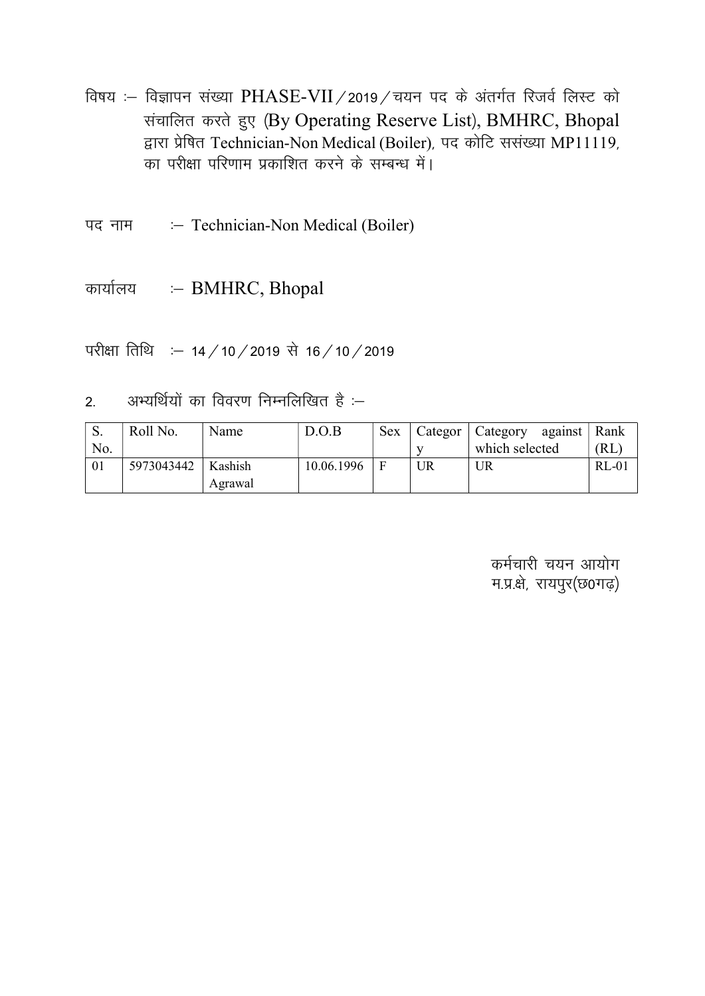विषय :- विज्ञापन संख्या PHASE-VII / 2019 / चयन पद के अंतर्गत रिजर्व लिस्ट को संचालित करते हुए (By Operating Reserve List), BMHRC, Bhopal द्वारा प्रेषित Technician-Non Medical (Boiler), पद कोटि ससंख्या MP11119, का परीक्षा परिणाम प्रकाशित करने के सम्बन्ध में।

:- Technician-Non Medical (Boiler) पद नाम

कार्यालय :- BMHRC, Bhopal

परीक्षा तिथि : - 14 / 10 / 2019 से 16 / 10 / 2019

अभ्यर्थियों का विवरण निम्नलिखित है :–  $2<sup>1</sup>$ 

| $\mathbf{C}$<br>p. | Roll No.   | Name    | D.O.B      | <b>Sex</b> | Categor | $\mid$ Category<br>against | Rank    |
|--------------------|------------|---------|------------|------------|---------|----------------------------|---------|
| No.                |            |         |            |            |         | which selected             | (RL)    |
| 01                 | 5973043442 | Kashish | 10.06.1996 | F          | UR      | UR                         | $RL-01$ |
|                    |            | Agrawal |            |            |         |                            |         |

कर्मचारी चयन आयोग म.प्र.क्षे, रायपुर(छ0गढ़)